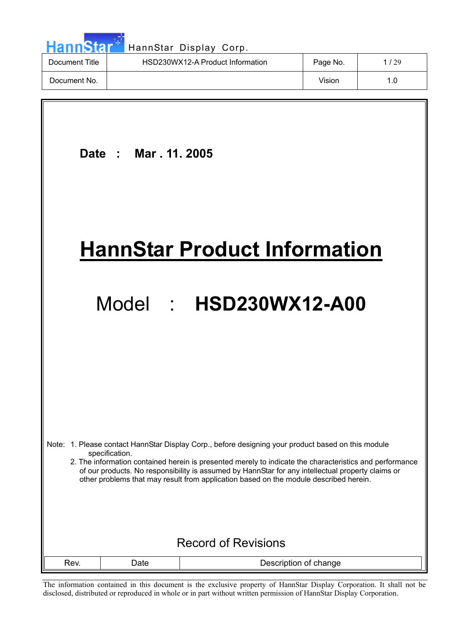| <b>HannStar</b> | HannStar Display Corp.           |          |      |
|-----------------|----------------------------------|----------|------|
| Document Title  | HSD230WX12-A Product Information | Page No. | 1/29 |
| Document No.    |                                  | Vision   | 1.0  |
|                 |                                  |          |      |

 **Date : Mar . 11. 2005 HannStar Product Information** Model : **HSD230WX12-A00**  Note: 1. Please contact HannStar Display Corp., before designing your product based on this module specification. 2. The information contained herein is presented merely to indicate the characteristics and performance of our products. No responsibility is assumed by HannStar for any intellectual property claims or other problems that may result from application based on the module described herein. Record of Revisions Rev. | Date | Description of change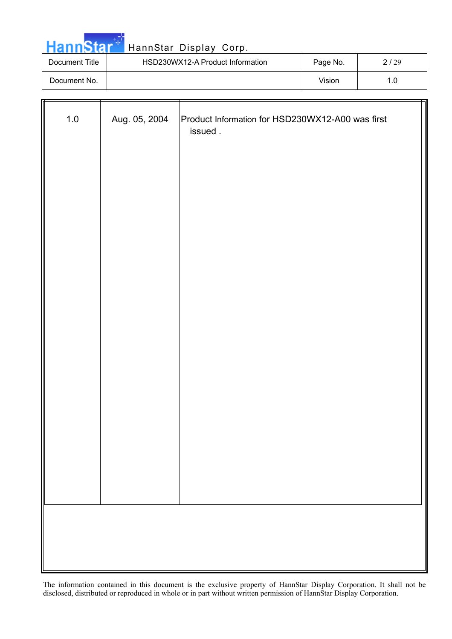

| Document Title | HSD230WX12-A Product Information | Page No. | 2/29 |
|----------------|----------------------------------|----------|------|
| Document No.   |                                  | Vision   | . C  |

| $1.0$ | Aug. 05, 2004 | Product Information for HSD230WX12-A00 was first<br>issued. |
|-------|---------------|-------------------------------------------------------------|
|       |               |                                                             |
|       |               |                                                             |
|       |               |                                                             |
|       |               |                                                             |
|       |               |                                                             |
|       |               |                                                             |
|       |               |                                                             |
|       |               |                                                             |
|       |               |                                                             |
|       |               |                                                             |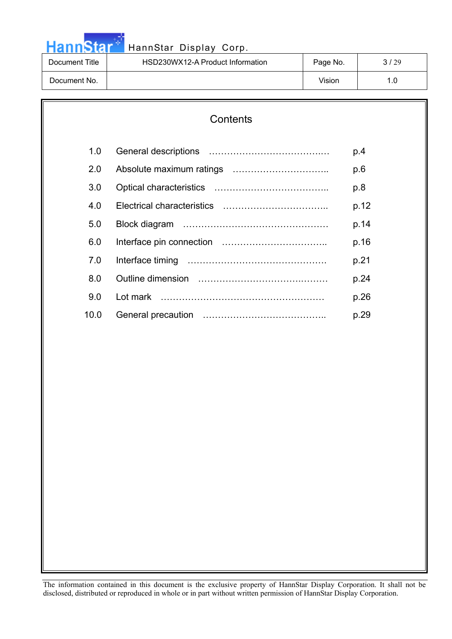

| Document Title | HSD230WX12-A Product Information | Page No. | 3/29 |
|----------------|----------------------------------|----------|------|
| Document No.   |                                  | Vision   |      |

### **Contents**

| 1.0  | p.4  |
|------|------|
| 2.0  | p.6  |
| 3.0  | p.8  |
| 4.0  | p.12 |
| 5.0  | p.14 |
| 6.0  | p.16 |
| 7.0  | p.21 |
| 8.0  | p.24 |
| 9.0  | p.26 |
| 10.0 | p.29 |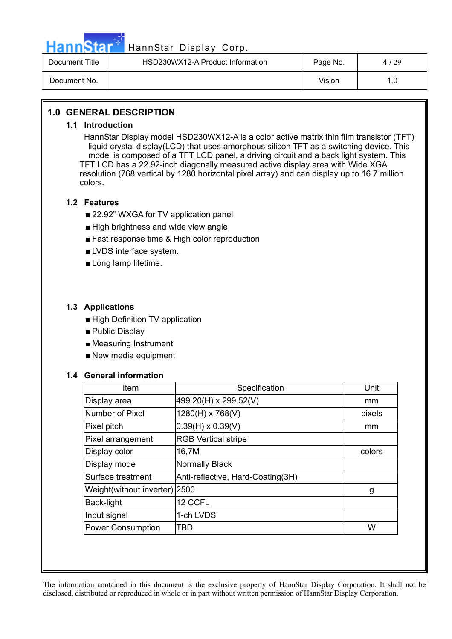

## HannStar<sup>57</sup> HannStar Display Corp.

| Document Title | HSD230WX12-A Product Information | Page No. | 4/29 |
|----------------|----------------------------------|----------|------|
| Document No.   |                                  | Vision   | 1.0  |

#### **1.0 GENERAL DESCRIPTION**

#### **1.1 Introduction**

HannStar Display model HSD230WX12-A is a color active matrix thin film transistor (TFT) liquid crystal display(LCD) that uses amorphous silicon TFT as a switching device. This model is composed of a TFT LCD panel, a driving circuit and a back light system. This TFT LCD has a 22.92-inch diagonally measured active display area with Wide XGA resolution (768 vertical by 1280 horizontal pixel array) and can display up to 16.7 million colors.

#### **1.2 Features**

- 22.92" WXGA for TV application panel
- High brightness and wide view angle
- Fast response time & High color reproduction
- LVDS interface system.
- Long lamp lifetime.

#### **1.3 Applications**

- High Definition TV application
- Public Display
- Measuring Instrument
- New media equipment

#### **1.4 General information**

| Item                          | Specification                     | Unit   |
|-------------------------------|-----------------------------------|--------|
| Display area                  | 499.20(H) x 299.52(V)             | mm     |
| Number of Pixel               | 1280(H) x 768(V)                  | pixels |
| Pixel pitch                   | $0.39(H) \times 0.39(V)$          | mm     |
| Pixel arrangement             | <b>RGB Vertical stripe</b>        |        |
| Display color                 | 16,7M                             | colors |
| Display mode                  | <b>Normally Black</b>             |        |
| Surface treatment             | Anti-reflective, Hard-Coating(3H) |        |
| Weight(without inverter) 2500 |                                   | g      |
| <b>Back-light</b>             | 12 CCFL                           |        |
| Input signal                  | 1-ch LVDS                         |        |
| <b>Power Consumption</b>      | TBD                               | W      |
|                               |                                   |        |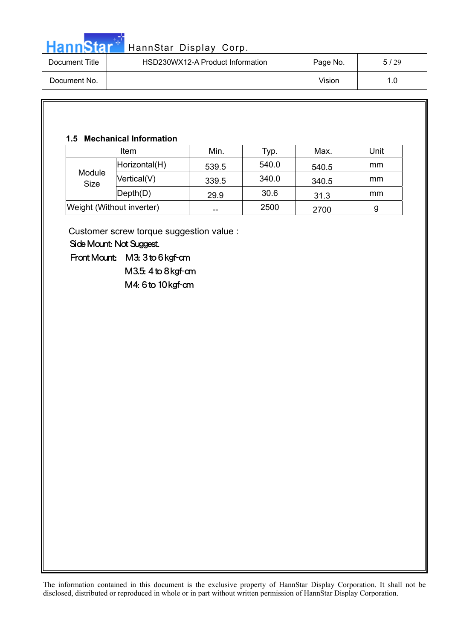

| Document Title | HSD230WX12-A Product Information | Page No. | 5/29 |
|----------------|----------------------------------|----------|------|
| Document No.   |                                  | Vision   | 1.0  |

#### **1.5 Mechanical Information**

| <b>Item</b>               |                              | Min.  | Typ.  | Max.  | Unit |
|---------------------------|------------------------------|-------|-------|-------|------|
| Module<br><b>Size</b>     | Horizontal(H)                | 539.5 | 540.0 | 540.5 | mm   |
|                           | Vertical(V)                  | 339.5 | 340.0 | 340.5 | mm   |
|                           | $\mathsf{Depth}(\mathsf{D})$ | 29.9  | 30.6  | 31.3  | mm   |
| Weight (Without inverter) |                              | --    | 2500  | 2700  | g    |

Customer screw torque suggestion value :

 Side Mount: Not Suggest.

 Front Mount: M3: 3 to 6 kgf-cm M3.5: 4 to 8 kgf-cm

M4: 6 to 10 kgf-cm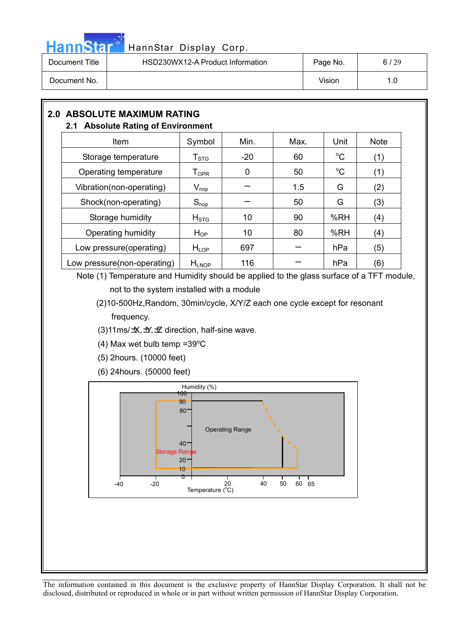

| Document Title | HSD230WX12-A Product Information | Page No. | 6/29 |
|----------------|----------------------------------|----------|------|
| Document No.   |                                  | Vision   | 1.0  |

### **2.0 ABSOLUTE MAXIMUM RATING**

#### **2.1 Absolute Rating of Environment**

| Item                        | Symbol                                            | Min.  | Max. | Unit        | <b>Note</b> |
|-----------------------------|---------------------------------------------------|-------|------|-------------|-------------|
| Storage temperature         | $\mathsf{T}_{\texttt{STG}}$                       | $-20$ | 60   | $^{\circ}C$ | (1)         |
| Operating temperature       | $\mathsf{T}_{\mathsf{OPR}}$                       | 0     | 50   | $^{\circ}C$ | (1)         |
| Vibration(non-operating)    | $\mathsf{V}_{\mathsf{nop}}$                       |       | 1.5  | G           | (2)         |
| Shock(non-operating)        | $S_{\text{nop}}$                                  |       | 50   | G           | (3)         |
| Storage humidity            | H <sub>STG</sub>                                  | 10    | 90   | %RH         | (4)         |
| Operating humidity          | $H_{OP}$                                          | 10    | 80   | %RH         | (4)         |
| Low pressure(operating)     | $H_{LOP}$                                         | 697   |      | hPa         | (5)         |
| Low pressure(non-operating) | $H_{\mathsf{L} \mathsf{N} \mathsf{O} \mathsf{P}}$ | 116   |      | hPa         | (6)         |

Note (1) Temperature and Humidity should be applied to the glass surface of a TFT module,

not to the system installed with a module

(2)10-500Hz,Random, 30min/cycle, X/Y/Z each one cycle except for resonant frequency.

- (3)11ms/ $\pm$ X,  $\pm$ / $\pm$ Z direction, half-sine wave.
- $(4)$  Max wet bulb temp =39 $^{\circ}$ C
- (5) 2hours. (10000 feet)

(6) 24hours. (50000 feet)

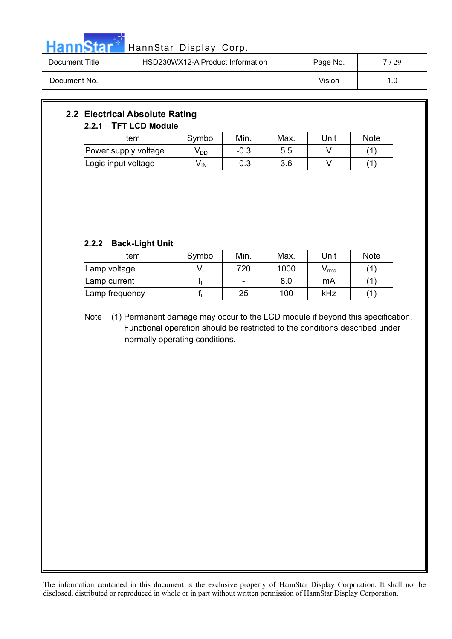

| Document Title | HSD230WX12-A Product Information | Page No. | 7 / 29 |
|----------------|----------------------------------|----------|--------|
| Document No.   |                                  | Vision   | 1.0    |

#### **2.2 Electrical Absolute Rating 2.2.1 TFT LCD Module**

| Item                 | Symbol | Min.   | Max. | Unit | <b>Note</b> |
|----------------------|--------|--------|------|------|-------------|
| Power supply voltage | V DD   | $-0.3$ | 5.5  |      |             |
| Logic input voltage  | V IN   | $-0.3$ | 3.6  |      |             |

#### **2.2.2 Back-Light Unit**

| Item           | Symbol | Min. | Max. | Unit  | <b>Note</b> |
|----------------|--------|------|------|-------|-------------|
| Lamp voltage   |        | 720  | 1000 | v rms |             |
| Lamp current   |        |      | 8.0  | mA    |             |
| Lamp frequency |        | 25   | 100  | kHz   |             |

Note (1) Permanent damage may occur to the LCD module if beyond this specification. Functional operation should be restricted to the conditions described under normally operating conditions.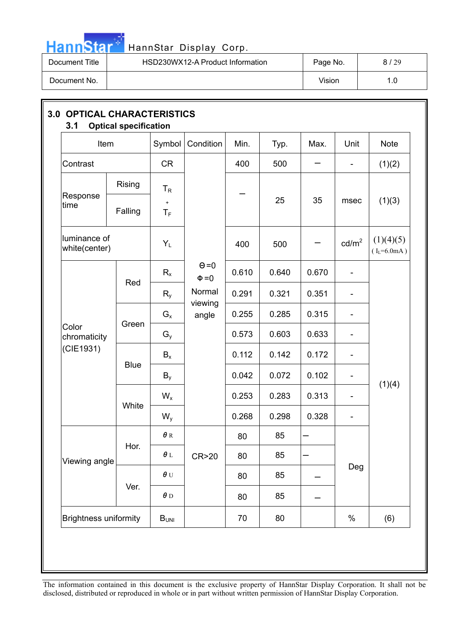

| Document Title | HSD230WX12-A Product Information | Page No. | / 29<br>81 |
|----------------|----------------------------------|----------|------------|
| Document No.   |                                  | Vision   | . .0       |

| Item                               |             | Symbol           | Condition                  | Min.  | Typ.  | Max.  | Unit                     | Note                          |
|------------------------------------|-------------|------------------|----------------------------|-------|-------|-------|--------------------------|-------------------------------|
| Contrast                           |             | <b>CR</b>        |                            | 400   | 500   |       | $\overline{\phantom{a}}$ | (1)(2)                        |
|                                    | Rising      | $T_R$            |                            |       |       |       |                          |                               |
| Response<br>time                   | Falling     | $\pm$<br>$T_F$   |                            |       | 25    | 35    | msec                     | (1)(3)                        |
| luminance of<br>white(center)      |             | $Y_L$            |                            | 400   | 500   |       | cd/m <sup>2</sup>        | (1)(4)(5)<br>$(I_L = 6.0 mA)$ |
| Color<br>chromaticity<br>(CIE1931) |             | $R_{x}$          | $\Theta = 0$<br>$\Phi = 0$ | 0.610 | 0.640 | 0.670 | $\overline{\phantom{a}}$ |                               |
|                                    | Red         | $R_{y}$          | Normal                     | 0.291 | 0.321 | 0.351 |                          |                               |
|                                    |             | $G_{x}$          | viewing<br>angle           | 0.255 | 0.285 | 0.315 |                          |                               |
|                                    | Green       | $G_{y}$          |                            | 0.573 | 0.603 | 0.633 | $\overline{\phantom{a}}$ |                               |
|                                    |             | $B_x$            |                            | 0.112 | 0.142 | 0.172 | $\overline{\phantom{a}}$ |                               |
|                                    | <b>Blue</b> | $B_y$            |                            | 0.042 | 0.072 | 0.102 | -                        | (1)(4)                        |
|                                    | White       | $W_{x}$          |                            | 0.253 | 0.283 | 0.313 | $\overline{\phantom{0}}$ |                               |
|                                    |             | $W_{y}$          |                            | 0.268 | 0.298 | 0.328 | $\overline{\phantom{a}}$ |                               |
|                                    | Hor.        | $\pmb{\theta}$ R |                            | 80    | 85    |       |                          |                               |
| Viewing angle                      |             | $\pmb{\theta}$ L | CR>20                      | 80    | 85    |       | Deg                      |                               |
|                                    | Ver.        | $\pmb{\theta}$ U |                            | 80    | 85    |       |                          |                               |
|                                    |             | $\pmb{\theta}$ D |                            | 80    | 85    |       |                          |                               |
| <b>Brightness uniformity</b>       |             | $B_{UNI}$        |                            | 70    | 80    |       | $\%$                     | (6)                           |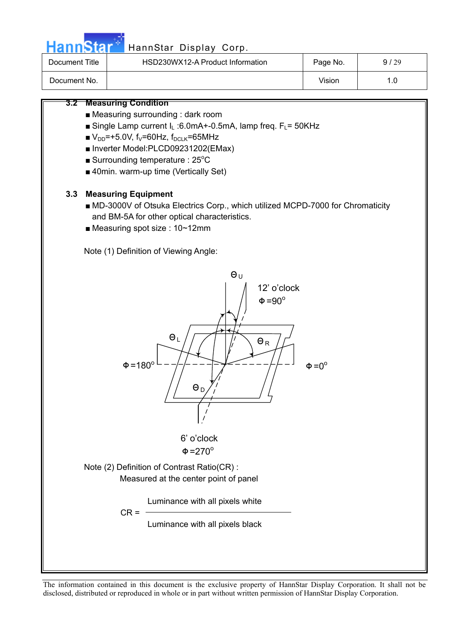

## HannStar<sup>5</sup> HannStar Display Corp.

| Document Title | HSD230WX12-A Product Information | Page No. | 9/29 |
|----------------|----------------------------------|----------|------|
| Document No.   |                                  | Vision   | 1.C  |

#### **3.2 Measuring Condition**

- Measuring surrounding : dark room
- Single Lamp current  $I_L$  :6.0mA+-0.5mA, lamp freq.  $F_L$ = 50KHz
- $V_{DD}$ =+5.0V, f<sub>V</sub>=60Hz, f<sub>DCLK</sub>=65MHz
- Inverter Model:PLCD09231202(EMax)
- $\blacksquare$  Surrounding temperature : 25°C
- 40min. warm-up time (Vertically Set)

#### **3.3 Measuring Equipment**

- MD-3000V of Otsuka Electrics Corp., which utilized MCPD-7000 for Chromaticity and BM-5A for other optical characteristics.
- Measuring spot size : 10~12mm

Note (1) Definition of Viewing Angle:

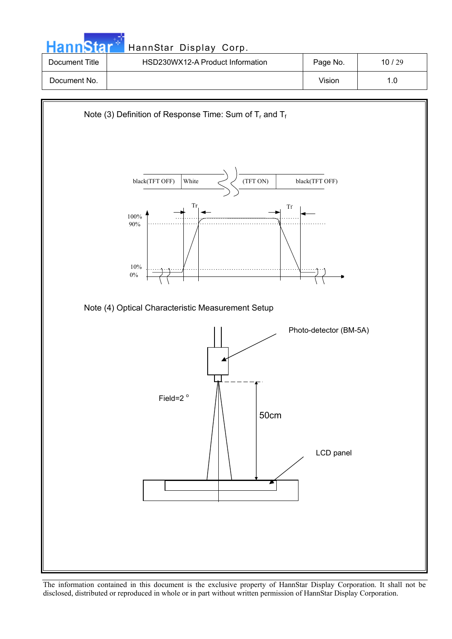|                | HannStar Display Corp.           |          |       |
|----------------|----------------------------------|----------|-------|
| Document Title | HSD230WX12-A Product Information | Page No. | 10/29 |
| Document No.   |                                  | Vision   | 1.0   |

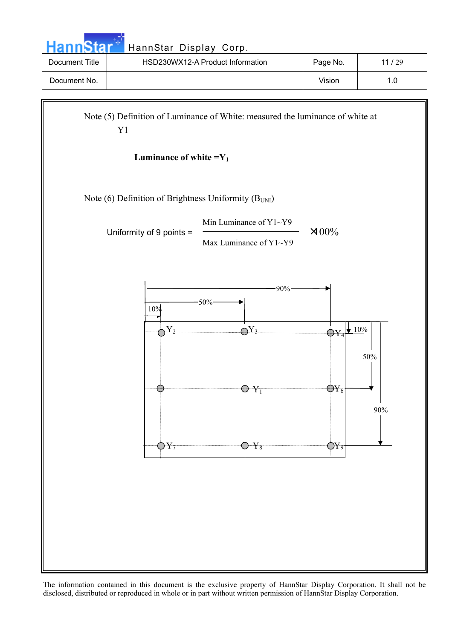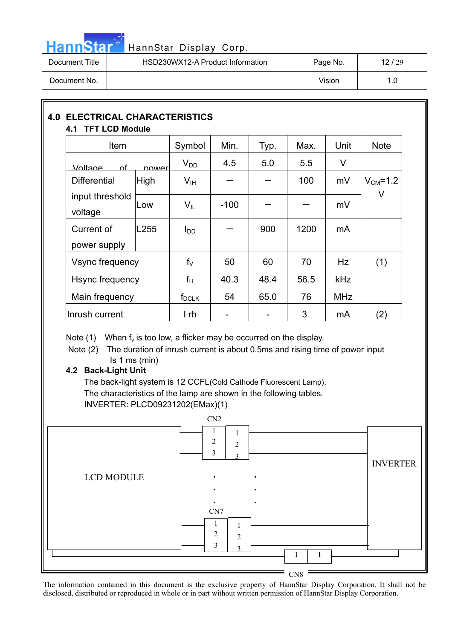

| Document Title | HSD230WX12-A Product Information | Page No. | 12/29 |
|----------------|----------------------------------|----------|-------|
| Document No.   |                                  | Vision   | 1.0   |

### **4.0 ELECTRICAL CHARACTERISTICS 4.1 TFT LCD Module**

| Item                       |        | Symbol          | Min.   | Typ. | Max. | Unit       | <b>Note</b>    |
|----------------------------|--------|-----------------|--------|------|------|------------|----------------|
| <u>Voltage</u><br>∩f       | nowerl | $V_{DD}$        | 4.5    | 5.0  | 5.5  | V          |                |
| <b>Differential</b>        | High   | V <sub>IH</sub> |        |      | 100  | mV         | $V_{CM} = 1.2$ |
| input threshold<br>voltage | Low    | $V_{IL}$        | $-100$ |      |      | mV         | V              |
| Current of                 | L255   | l <sub>DD</sub> |        | 900  | 1200 | mA         |                |
| power supply               |        |                 |        |      |      |            |                |
| Vsync frequency            |        | $f_V$           | 50     | 60   | 70   | Hz         | (1)            |
| Hsync frequency            |        | $f_H$           | 40.3   | 48.4 | 56.5 | <b>kHz</b> |                |
| Main frequency             |        | $f_{DCLK}$      | 54     | 65.0 | 76   | <b>MHz</b> |                |
| Inrush current             |        | I rh            |        |      | 3    | mA         | (2)            |

Note  $(1)$  When  $f_v$  is too low, a flicker may be occurred on the display.

Note (2) The duration of inrush current is about 0.5ms and rising time of power input Is 1 ms (min)

#### **4.2 Back-Light Unit**

The back-light system is 12 CCFL(Cold Cathode Fluorescent Lamp). The characteristics of the lamp are shown in the following tables. INVERTER: PLCD09231202(EMax)(1)

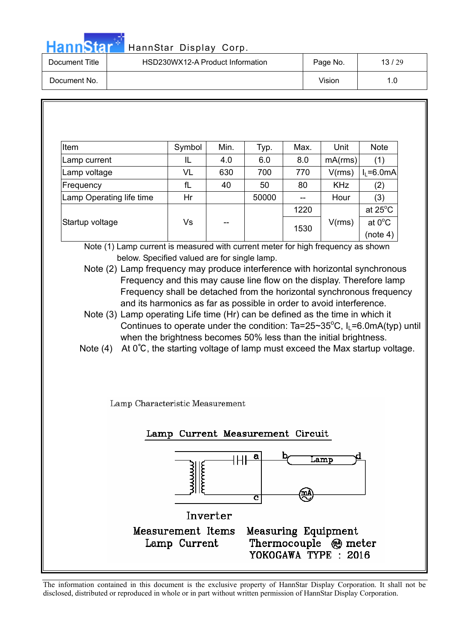**Hann**Star<sup>®</sup>

| HannStar Display Corp. |  |  |
|------------------------|--|--|
|------------------------|--|--|

| Document Title | HSD230WX12-A Product Information | Page No. | 13/29 |
|----------------|----------------------------------|----------|-------|
| Document No.   |                                  | Vision   |       |

| Item                                                                                                                                                                                                                                                                                                                                                                                                                                                                                                                                                                                   | Symbol | Min. | Typ.                             | Max. | Unit       | <b>Note</b>      |  |
|----------------------------------------------------------------------------------------------------------------------------------------------------------------------------------------------------------------------------------------------------------------------------------------------------------------------------------------------------------------------------------------------------------------------------------------------------------------------------------------------------------------------------------------------------------------------------------------|--------|------|----------------------------------|------|------------|------------------|--|
| Lamp current                                                                                                                                                                                                                                                                                                                                                                                                                                                                                                                                                                           | IL     | 4.0  | 6.0                              | 8.0  | mA(rms)    | (1)              |  |
| Lamp voltage                                                                                                                                                                                                                                                                                                                                                                                                                                                                                                                                                                           | VL     | 630  | 700                              | 770  | V(rms)     | $I_L = 6.0mA$    |  |
| Frequency                                                                                                                                                                                                                                                                                                                                                                                                                                                                                                                                                                              | fL     | 40   | 50                               | 80   | <b>KHz</b> | (2)              |  |
| Lamp Operating life time                                                                                                                                                                                                                                                                                                                                                                                                                                                                                                                                                               | Hr     |      | 50000                            | --   | Hour       | (3)              |  |
|                                                                                                                                                                                                                                                                                                                                                                                                                                                                                                                                                                                        |        |      |                                  | 1220 |            | at 25°C          |  |
| Startup voltage                                                                                                                                                                                                                                                                                                                                                                                                                                                                                                                                                                        | Vs     |      |                                  |      | V(rms)     | at $0^{\circ}$ C |  |
|                                                                                                                                                                                                                                                                                                                                                                                                                                                                                                                                                                                        |        |      |                                  | 1530 |            | (note 4)         |  |
| Frequency and this may cause line flow on the display. Therefore lamp<br>Frequency shall be detached from the horizontal synchronous frequency<br>and its harmonics as far as possible in order to avoid interference.<br>Note (3) Lamp operating Life time (Hr) can be defined as the time in which it<br>Continues to operate under the condition: Ta=25~35 $^{\circ}$ C, I <sub>L</sub> =6.0mA(typ) until<br>when the brightness becomes 50% less than the initial brightness.<br>At $0^{\circ}$ C, the starting voltage of lamp must exceed the Max startup voltage.<br>Note $(4)$ |        |      |                                  |      |            |                  |  |
|                                                                                                                                                                                                                                                                                                                                                                                                                                                                                                                                                                                        |        |      |                                  |      |            |                  |  |
| Lamp Characteristic Measurement                                                                                                                                                                                                                                                                                                                                                                                                                                                                                                                                                        |        |      |                                  |      |            |                  |  |
|                                                                                                                                                                                                                                                                                                                                                                                                                                                                                                                                                                                        |        |      | Lamp Current Measurement Circuit |      |            |                  |  |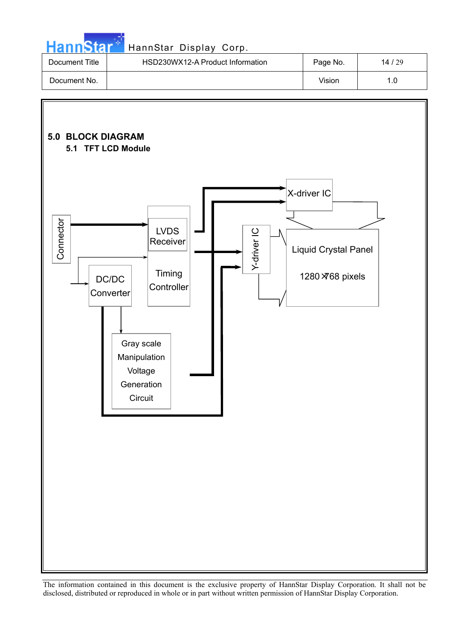| HannStar * |  |  |  |
|------------|--|--|--|
|            |  |  |  |
|            |  |  |  |

### HannStar Display Corp.

| Document Title | HSD230WX12-A Product Information | Page No. | 14/29 |
|----------------|----------------------------------|----------|-------|
| Document No.   |                                  | Vision   |       |

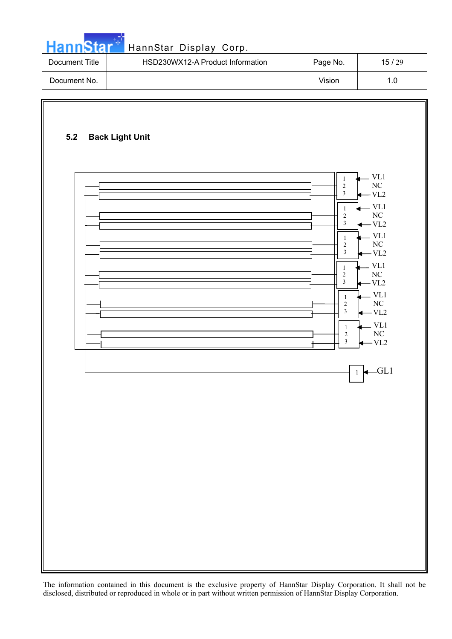|  | HannStar* |  |
|--|-----------|--|
|  |           |  |

### HannStar Display Corp.

| Document Title | HSD230WX12-A Product Information | Page No. | 15/29 |
|----------------|----------------------------------|----------|-------|
| Document No.   |                                  | Vision   | . O   |

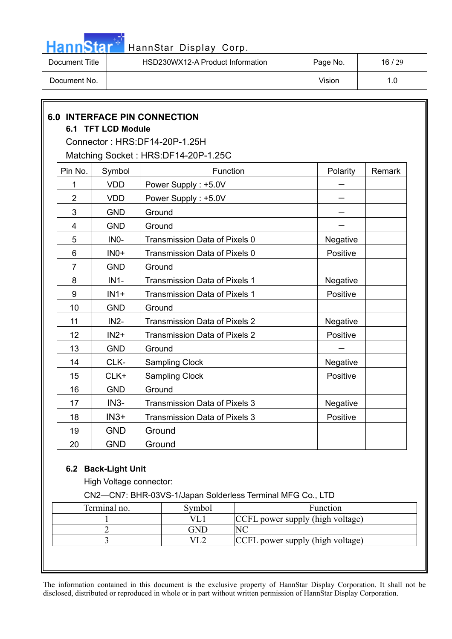

| Document Title | HSD230WX12-A Product Information | Page No. | 16/29 |
|----------------|----------------------------------|----------|-------|
| Document No.   |                                  | Vision   |       |

|                 | 6.1 TFT LCD Module | <b>6.0 INTERFACE PIN CONNECTION</b>  |          |        |
|-----------------|--------------------|--------------------------------------|----------|--------|
|                 |                    | Connector: HRS:DF14-20P-1.25H        |          |        |
|                 |                    | Matching Socket: HRS:DF14-20P-1.25C  |          |        |
| Pin No.         | Symbol             | Function                             | Polarity | Remark |
| 1               | <b>VDD</b>         | Power Supply: +5.0V                  |          |        |
| $\overline{2}$  | <b>VDD</b>         | Power Supply: +5.0V                  |          |        |
| 3               | <b>GND</b>         | Ground                               |          |        |
| 4               | <b>GND</b>         | Ground                               |          |        |
| 5               | IN <sub>0</sub> -  | Transmission Data of Pixels 0        | Negative |        |
| $6\phantom{1}6$ | $INO+$             | Transmission Data of Pixels 0        | Positive |        |
| $\overline{7}$  | <b>GND</b>         | Ground                               |          |        |
| 8               | $IN1-$             | Transmission Data of Pixels 1        | Negative |        |
| 9               | $IN1+$             | Transmission Data of Pixels 1        | Positive |        |
| 10              | <b>GND</b>         | Ground                               |          |        |
| 11              | $IN2-$             | <b>Transmission Data of Pixels 2</b> | Negative |        |
| 12              | $IN2+$             | <b>Transmission Data of Pixels 2</b> | Positive |        |
| 13              | <b>GND</b>         | Ground                               |          |        |
| 14              | CLK-               | <b>Sampling Clock</b>                | Negative |        |
| 15              | CLK+               | <b>Sampling Clock</b>                | Positive |        |
| 16              | <b>GND</b>         | Ground                               |          |        |
| 17              | $IN3-$             | <b>Transmission Data of Pixels 3</b> | Negative |        |
| 18              | $IN3+$             | <b>Transmission Data of Pixels 3</b> | Positive |        |
| 19              | <b>GND</b>         | Ground                               |          |        |
| 20              | <b>GND</b>         | Ground                               |          |        |

#### **6.2 Back-Light Unit**

High Voltage connector:

CN2—CN7: BHR-03VS-1/Japan Solderless Terminal MFG Co., LTD

| Terminal no. | Symbol | Function                         |
|--------------|--------|----------------------------------|
|              |        | CCFL power supply (high voltage) |
|              | GND.   |                                  |
|              |        | CCFL power supply (high voltage) |
|              |        |                                  |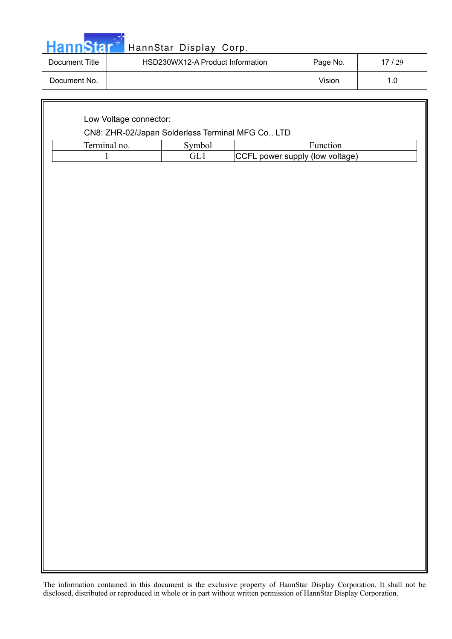|  |  | <b>HannStar</b> * |  |
|--|--|-------------------|--|

### HannStar Display Corp.

| Document Title | HSD230WX12-A Product Information | Page No. | 17/29 |
|----------------|----------------------------------|----------|-------|
| Document No.   |                                  | Vision   |       |

| CN8: ZHR-02/Japan Solderless Terminal MFG Co., LTD |                        |                                 |  |  |  |  |  |
|----------------------------------------------------|------------------------|---------------------------------|--|--|--|--|--|
| Terminal no.                                       | Symbol                 | Function                        |  |  |  |  |  |
| $\mathbf{1}$                                       | $\operatorname{GL}{1}$ | CCFL power supply (low voltage) |  |  |  |  |  |
|                                                    |                        |                                 |  |  |  |  |  |
|                                                    |                        |                                 |  |  |  |  |  |
|                                                    |                        |                                 |  |  |  |  |  |
|                                                    |                        |                                 |  |  |  |  |  |
|                                                    |                        |                                 |  |  |  |  |  |
|                                                    |                        |                                 |  |  |  |  |  |
|                                                    |                        |                                 |  |  |  |  |  |
|                                                    |                        |                                 |  |  |  |  |  |
|                                                    |                        |                                 |  |  |  |  |  |
|                                                    |                        |                                 |  |  |  |  |  |
|                                                    |                        |                                 |  |  |  |  |  |
|                                                    |                        |                                 |  |  |  |  |  |
|                                                    |                        |                                 |  |  |  |  |  |
|                                                    |                        |                                 |  |  |  |  |  |
|                                                    |                        |                                 |  |  |  |  |  |
|                                                    |                        |                                 |  |  |  |  |  |
|                                                    |                        |                                 |  |  |  |  |  |
|                                                    |                        |                                 |  |  |  |  |  |
|                                                    |                        |                                 |  |  |  |  |  |
|                                                    |                        |                                 |  |  |  |  |  |
|                                                    |                        |                                 |  |  |  |  |  |
|                                                    |                        |                                 |  |  |  |  |  |
|                                                    |                        |                                 |  |  |  |  |  |
|                                                    |                        |                                 |  |  |  |  |  |
|                                                    |                        |                                 |  |  |  |  |  |
|                                                    |                        |                                 |  |  |  |  |  |
|                                                    |                        |                                 |  |  |  |  |  |
|                                                    |                        |                                 |  |  |  |  |  |
|                                                    |                        |                                 |  |  |  |  |  |
|                                                    |                        |                                 |  |  |  |  |  |
|                                                    |                        |                                 |  |  |  |  |  |
|                                                    |                        |                                 |  |  |  |  |  |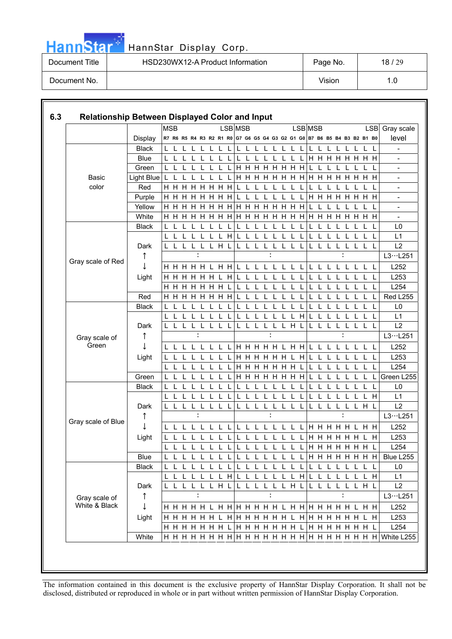

| Document Title | HSD230WX12-A Product Information | Page No. | 18/29 |
|----------------|----------------------------------|----------|-------|
| Document No.   |                                  | Vision   | 1.0   |

|                                |              | <b>MSB</b>                                                              |              |                  |                |              |              | LSB MSB                           |     |              |              |          |   |              |                        | LSB MSB        |     |    |       |    |             |                      |       | <b>LSB</b>   | Gray scale               |
|--------------------------------|--------------|-------------------------------------------------------------------------|--------------|------------------|----------------|--------------|--------------|-----------------------------------|-----|--------------|--------------|----------|---|--------------|------------------------|----------------|-----|----|-------|----|-------------|----------------------|-------|--------------|--------------------------|
|                                | Display      | R7 R6 R5 R4 R3 R2 R1 R0 G7 G6 G5 G4 G3 G2 G1 G0 B7 B6 B5 B4 B3 B2 B1 B0 |              |                  |                |              |              |                                   |     |              |              |          |   |              |                        |                |     |    |       |    |             |                      |       |              | level                    |
|                                | <b>Black</b> |                                                                         |              |                  |                |              |              |                                   |     |              |              |          |   | $\mathsf L$  | L                      |                |     |    |       |    |             |                      |       | L            |                          |
|                                | <b>Blue</b>  |                                                                         |              |                  |                |              |              |                                   |     |              |              |          |   |              |                        |                |     |    |       |    |             | <b>H H H H H H H</b> |       |              |                          |
|                                | Green        | L                                                                       |              |                  |                |              |              |                                   |     |              |              |          |   |              | <b>HHHHHHH</b>         |                |     |    |       |    |             |                      |       |              |                          |
| <b>Basic</b>                   | Light Blue   | I L                                                                     |              |                  |                | L            |              | $\mathsf L$                       |     |              |              |          |   |              |                        | <b>HHHHHHH</b> |     |    |       |    |             | <b>HHHHHHH</b>       |       |              |                          |
| color                          | Red          | H.<br>H                                                                 | H            | H                | H              | н            | HН           |                                   |     |              |              |          |   |              |                        |                |     |    |       |    |             |                      |       |              |                          |
|                                | Purple       | ннн                                                                     |              | <b>H H H H H</b> |                |              |              |                                   |     |              |              |          |   |              |                        |                | H.  | H  | H     | H. | H           |                      | H H H |              |                          |
|                                | Yellow       | <b>H H H H H H H</b>                                                    |              |                  |                |              |              |                                   |     |              |              |          |   |              | <b>H H H H H H H</b>   |                |     |    |       |    |             |                      |       |              | $\overline{\phantom{a}}$ |
|                                | White        | <b>H H H H H H H</b>                                                    |              |                  |                |              |              |                                   |     |              |              |          |   |              | <b>HHHHHHHH</b>        |                |     |    |       |    |             | <b>HHHHHHH</b>       |       |              | $\overline{a}$           |
|                                | <b>Black</b> |                                                                         |              |                  |                |              |              |                                   |     |              |              |          |   |              |                        |                |     |    |       |    |             |                      |       |              | L0                       |
|                                |              | L                                                                       |              |                  |                | $\mathbf{L}$ |              | H                                 |     |              |              |          |   |              |                        |                |     |    |       |    |             |                      |       |              | L1                       |
|                                | Dark         |                                                                         | L L L        |                  | $\mathsf{L}$   | L H          |              | L                                 | L   | L            | L            | L        | L | L            | L                      | L              | L   | L  | L     | L  | L           | L                    | L     | - L          | L2                       |
| Gray scale of Red              | T            |                                                                         |              |                  |                |              |              |                                   |     |              |              |          |   |              |                        |                |     |    |       |    |             |                      |       |              | L3L251                   |
|                                |              |                                                                         |              |                  |                |              |              |                                   |     |              |              |          |   |              | L L L L L L L L        |                | L L |    |       |    |             | L L L L L L          |       |              | L252                     |
|                                | Light        | H                                                                       |              | HHHHH            |                |              |              | H                                 |     |              |              |          |   |              |                        |                |     |    |       |    |             |                      |       |              | L253                     |
|                                |              | H                                                                       |              | <b>HHHHHH</b>    |                |              |              | L                                 | L   | $\mathbf{L}$ | L            |          |   | L            | L                      | L              | L   |    | L     |    |             | L                    | L     | - L          | L254                     |
|                                | Red          | H.                                                                      |              | <b>HHHHHH</b>    |                |              |              |                                   |     |              |              |          |   |              |                        |                |     |    |       |    |             |                      |       |              | Red L255                 |
|                                | <b>Black</b> |                                                                         |              |                  |                |              |              |                                   |     |              |              |          |   |              |                        |                |     |    |       |    |             |                      |       |              | L <sub>0</sub>           |
|                                |              |                                                                         | $\mathbf{L}$ |                  |                |              |              |                                   |     |              |              |          |   |              | $\mathbf{L}$           | H              |     |    |       |    |             |                      |       | $\mathbf{L}$ | L1                       |
|                                | Dark         | L L L                                                                   |              |                  | $\mathsf{L}$   | L L          |              | L                                 | L L |              | $\mathsf L$  | L        |   |              | LLHL                   |                | L   | L  | L     |    | L           | L                    | L     | $\mathbf{I}$ | L2                       |
| Gray scale of                  | ↑            |                                                                         |              |                  |                |              |              |                                   |     |              |              |          |   |              |                        |                |     |    |       |    |             |                      |       |              | L3L251                   |
| Green                          |              | $\mathbf{L}$                                                            |              |                  |                |              |              |                                   |     |              |              |          |   |              | <b>H H H H H L H H</b> |                |     |    |       |    |             | $\mathbf{L}$         |       | L L          | L252                     |
|                                | Light        |                                                                         | $\mathbf{1}$ |                  |                |              |              |                                   |     |              |              |          |   |              | <b>HHHHHHLH</b>        |                |     |    | L     |    |             |                      |       |              | L253                     |
|                                |              |                                                                         |              |                  |                |              |              |                                   |     |              |              |          |   |              | <b>HHHHHHH</b>         |                |     |    |       |    |             |                      |       |              | L254                     |
|                                | Green        |                                                                         |              |                  |                |              |              |                                   |     |              |              |          |   |              | <b>H H H H H H H</b>   |                |     |    |       |    |             |                      |       |              | Green L255               |
|                                | <b>Black</b> |                                                                         |              |                  |                |              |              |                                   |     |              |              |          |   |              |                        |                |     |    |       |    |             |                      |       |              | L <sub>0</sub>           |
|                                |              | L                                                                       |              |                  |                | L            |              |                                   |     |              |              |          |   | $\mathbf{I}$ | $\mathbf{I}$           |                |     |    |       |    |             | L                    |       | L H          | L1                       |
|                                | Dark         | L L                                                                     |              | L                | L              | L            |              |                                   |     |              |              |          |   | L            | $\mathbf{I}$           | Ι.             |     |    | L     |    | L           |                      | LHL   |              | L2                       |
|                                | ↑            |                                                                         |              |                  |                |              |              |                                   |     |              |              |          |   |              |                        |                |     |    |       |    |             |                      |       |              | L3L251                   |
| Gray scale of Blue             |              | L<br>L L L                                                              |              |                  |                | L            |              | L                                 | L   | L            | $\mathbf{I}$ | L        | L | L            | L L                    |                |     |    | HHHHH |    |             |                      | L H H |              | L252                     |
|                                | Light        | L                                                                       | L L          |                  |                | L            |              |                                   |     | L            | L            | L        |   | $\mathsf{L}$ | -L                     | L              |     |    | HHHHH |    |             | H                    |       | Н            | L253                     |
|                                |              | L<br>$\mathbf{1}$ $\mathbf{1}$ $\mathbf{1}$                             |              |                  | $\blacksquare$ | L            | $\mathbf{I}$ | $\mathsf L$                       | L   | $\mathbf{L}$ | - L          | <b>L</b> |   | L L          | $L_{\perp}$            |                |     |    |       |    |             | <b>HHHHHHL</b>       |       |              | L254                     |
|                                | Blue         | L<br>L                                                                  | L L          |                  | $\mathbf{L}$   | L            | L            |                                   | L.  | L            | L            | L        |   | L L          | L L                    |                |     |    |       |    |             | <b>HHHHHHH</b>       |       |              | Blue L255                |
|                                | Black        |                                                                         | L L          |                  |                | L.           | $\mathbf{L}$ | L                                 |     | L L          | $\mathsf{L}$ |          |   |              | LLLL                   | L              | L   | L. |       |    |             | LLLL                 | L L   |              | L <sub>0</sub>           |
| Gray scale of<br>White & Black |              | L<br>$\mathbf{I}$                                                       |              |                  |                | $\mathbf{L}$ | L            | H                                 |     |              | L            |          |   | L            | $\mathsf{L}$           | H              |     |    | L     |    | L           | L                    |       | L H          | L1                       |
|                                | Dark         | $\mathsf{L}$                                                            |              | $\mathsf L$      | L              | L H L        |              |                                   |     | L            | L            | L        |   |              | LLHL                   |                | L   | L  | L     | L  | $\mathsf L$ | L H L                |       |              | L2                       |
|                                | ↑            |                                                                         |              | ÷                |                |              |              |                                   |     |              |              |          | ÷ |              |                        |                |     |    |       |    |             |                      |       |              | L3L251                   |
|                                |              |                                                                         |              |                  |                |              |              |                                   |     |              |              |          |   |              |                        |                |     |    |       |    |             |                      |       |              | L252                     |
|                                | Light        |                                                                         |              | <b>HHHHH</b>     |                |              |              | L H H H H H H H L H H H H H H L H |     |              |              |          |   |              |                        |                |     |    |       |    |             |                      |       |              | L253                     |
|                                |              | <b>H H H H H H L</b>                                                    |              |                  |                |              |              |                                   |     |              |              |          |   |              | HHHHHHL                |                |     |    |       |    |             | HHHHHHL              |       |              | L254                     |
|                                | White        |                                                                         |              |                  |                |              |              |                                   |     |              |              |          |   |              |                        |                |     |    |       |    |             |                      |       |              | White L255               |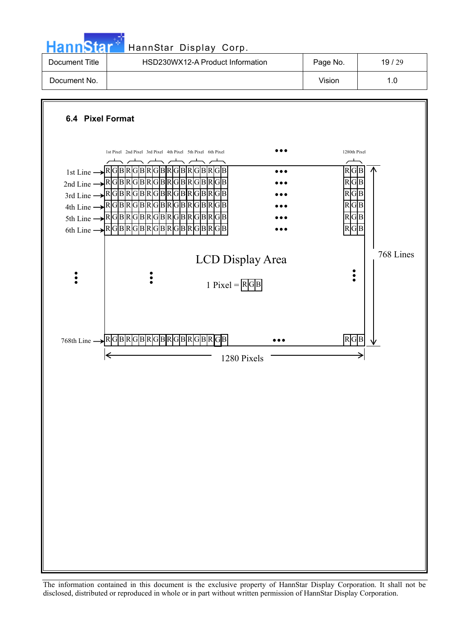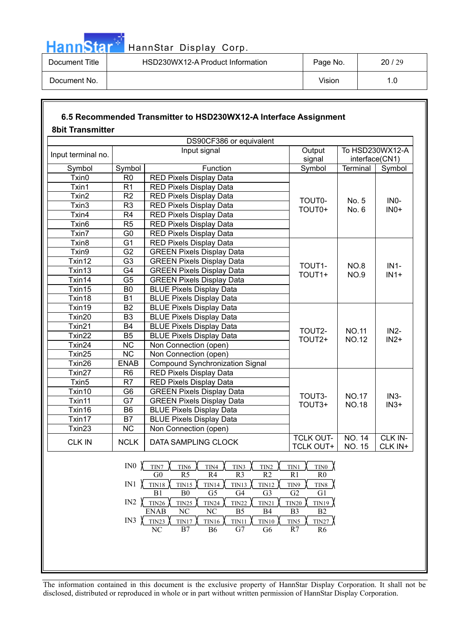

| Document Title | HSD230WX12-A Product Information | Page No. | 20/29 |
|----------------|----------------------------------|----------|-------|
| Document No.   |                                  | Vision   |       |

### **6.5 Recommended Transmitter to HSD230WX12-A Interface Assignment 8bit Transmitter**

|                    |                 | DS90CF386 or equivalent                                                                                                                                              |                                                  |                                |                                   |
|--------------------|-----------------|----------------------------------------------------------------------------------------------------------------------------------------------------------------------|--------------------------------------------------|--------------------------------|-----------------------------------|
| Input terminal no. |                 | Input signal                                                                                                                                                         | Output<br>signal                                 |                                | To HSD230WX12-A<br>interface(CN1) |
| Symbol             | Symbol          | Function                                                                                                                                                             | Symbol                                           | Terminal                       | Symbol                            |
| Txin0              | R <sub>0</sub>  | RED Pixels Display Data                                                                                                                                              |                                                  |                                |                                   |
| Txin1              | R <sub>1</sub>  | RED Pixels Display Data                                                                                                                                              |                                                  |                                |                                   |
| Txin2              | R <sub>2</sub>  | RED Pixels Display Data                                                                                                                                              |                                                  |                                |                                   |
| Txin3              | R <sub>3</sub>  | <b>RED Pixels Display Data</b>                                                                                                                                       | <b>TOUT0-</b>                                    | No. 5                          | IN <sub>0</sub> -                 |
| Txin4              | R <sub>4</sub>  | <b>RED Pixels Display Data</b>                                                                                                                                       | TOUT0+                                           | No. 6                          | IN <sub>0</sub> +                 |
| Txin <sub>6</sub>  | R <sub>5</sub>  | <b>RED Pixels Display Data</b>                                                                                                                                       |                                                  |                                |                                   |
| Txin7              | G <sub>0</sub>  | RED Pixels Display Data                                                                                                                                              |                                                  |                                |                                   |
| Txin <sub>8</sub>  | $\overline{G1}$ | RED Pixels Display Data                                                                                                                                              |                                                  |                                |                                   |
| Txin9              | G <sub>2</sub>  | <b>GREEN Pixels Display Data</b>                                                                                                                                     |                                                  |                                |                                   |
| Txin12             | G <sub>3</sub>  | <b>GREEN Pixels Display Data</b>                                                                                                                                     |                                                  |                                |                                   |
| Txin13             | G <sub>4</sub>  | <b>GREEN</b> Pixels Display Data                                                                                                                                     | TOUT1-                                           | <b>NO.8</b>                    | $IN1-$                            |
| Txin14             | G <sub>5</sub>  | <b>GREEN Pixels Display Data</b>                                                                                                                                     | TOUT1+                                           | <b>NO.9</b>                    | $IN1+$                            |
| Txin15             | B <sub>0</sub>  | <b>BLUE Pixels Display Data</b>                                                                                                                                      |                                                  |                                |                                   |
| Txin18             | <b>B1</b>       | <b>BLUE Pixels Display Data</b>                                                                                                                                      |                                                  |                                |                                   |
| Txin19             | <b>B2</b>       | <b>BLUE Pixels Display Data</b>                                                                                                                                      |                                                  |                                |                                   |
| Txin20             | B <sub>3</sub>  | <b>BLUE Pixels Display Data</b>                                                                                                                                      |                                                  |                                |                                   |
| Txin21             | <b>B4</b>       | <b>BLUE Pixels Display Data</b>                                                                                                                                      |                                                  |                                |                                   |
| Txin22             | B <sub>5</sub>  | <b>BLUE Pixels Display Data</b>                                                                                                                                      | TOUT2-                                           | <b>NO.11</b>                   | $IN2-$                            |
| Txin24             | <b>NC</b>       | Non Connection (open)                                                                                                                                                | TOUT2+                                           | <b>NO.12</b>                   | $IN2+$                            |
| Txin25             | <b>NC</b>       | Non Connection (open)                                                                                                                                                |                                                  |                                |                                   |
| Txin26             | <b>ENAB</b>     | Compound Synchronization Signal                                                                                                                                      |                                                  |                                |                                   |
| Txin27             | R <sub>6</sub>  | <b>RED Pixels Display Data</b>                                                                                                                                       |                                                  |                                |                                   |
| Txin5              | R7              | RED Pixels Display Data                                                                                                                                              |                                                  |                                |                                   |
| Txin10             | G <sub>6</sub>  | <b>GREEN Pixels Display Data</b>                                                                                                                                     |                                                  |                                |                                   |
| Txin11             | G7              | <b>GREEN Pixels Display Data</b>                                                                                                                                     | TOUT3-                                           | <b>NO.17</b>                   | $IN3-$                            |
| Txin16             | B <sub>6</sub>  | <b>BLUE Pixels Display Data</b>                                                                                                                                      | TOUT3+                                           | <b>NO.18</b>                   | $IN3+$                            |
| Txin17             | B7              | <b>BLUE Pixels Display Data</b>                                                                                                                                      |                                                  |                                |                                   |
| Txin23             | <b>NC</b>       | Non Connection (open)                                                                                                                                                |                                                  |                                |                                   |
| <b>CLK IN</b>      | <b>NCLK</b>     | DATA SAMPLING CLOCK                                                                                                                                                  | <b>TCLK OUT-</b><br><b>TCLK OUT+</b>             | <b>NO. 14</b><br><b>NO. 15</b> | CLK IN-<br>CLK IN+                |
|                    | IN <sub>0</sub> | TIN4<br>TIN3<br>TIN6<br>$\tt TIN2$<br>TIN7<br>R5<br>R4<br>R3<br>${\rm G0}$<br>R <sub>2</sub>                                                                         | TIN1<br>TIN <sub>0</sub><br>R1<br>R <sub>0</sub> |                                |                                   |
|                    |                 | IN1 $\chi$ <sub>TIN18</sub><br><b>TIN15</b><br>TIN14<br><b>TIN13</b><br><b>TIN12</b><br>B <sub>0</sub><br>B1<br>G <sub>5</sub><br>G <sub>4</sub><br>G <sub>3</sub>   | TIN9<br>TIN8<br>G2<br>G1                         |                                |                                   |
|                    |                 | IN2 $\sqrt{TIN26}$<br>TIN25<br><b>TIN24</b><br><b>TIN22</b><br><b>TIN21</b><br>$\overline{\text{NC}}$<br><b>ENAB</b><br>NC<br>B <sub>5</sub><br>B4                   | TIN19<br><b>TIN20</b><br>B2<br>B <sub>3</sub>    |                                |                                   |
|                    | IN3 $\chi$      | TIN23<br><b>TIN17</b><br>$\overline{\text{TN}}$ 11<br><b>TIN16</b><br><b>TIN10</b><br>$\overline{\text{NC}}$<br>$\overline{B7}$<br>G7<br><b>B6</b><br>G <sub>6</sub> | TIN27<br>TIN5<br>R7<br>R <sub>6</sub>            |                                |                                   |
|                    |                 |                                                                                                                                                                      |                                                  |                                |                                   |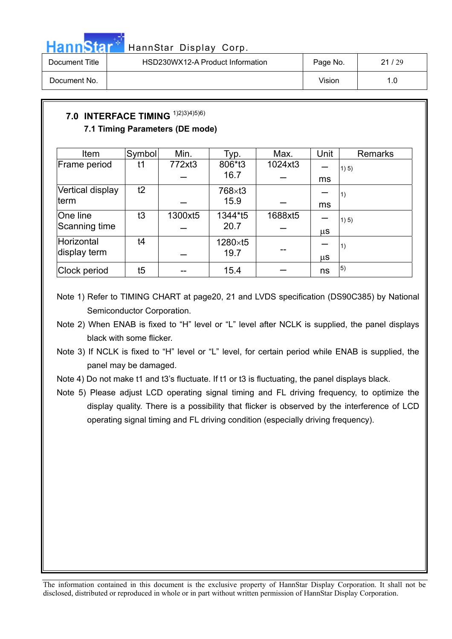

## HannStar<sup>5</sup> HannStar Display Corp.

| Document Title | HSD230WX12-A Product Information | Page No. | 21/29 |
|----------------|----------------------------------|----------|-------|
| Document No.   |                                  | Vision   |       |

### **7.0 INTERFACE TIMING** 1)2)3)4)5)6) **7.1 Timing Parameters (DE mode)**

| Item             | Symbol | Min.    | Typ.    | Max.    | Unit    | <b>Remarks</b> |
|------------------|--------|---------|---------|---------|---------|----------------|
| Frame period     | t1     | 772xt3  | 806*t3  | 1024xt3 |         | 1) 5)          |
|                  |        |         | 16.7    |         | ms      |                |
| Vertical display | t2     |         | 768×t3  |         |         | $\vert 1)$     |
| lterm            |        |         | 15.9    |         | ms      |                |
| One line         | t3     | 1300xt5 | 1344*t5 | 1688xt5 |         | 1) 5)          |
| Scanning time    |        |         | 20.7    |         | μS      |                |
| Horizontal       | t4     |         | 1280×t5 |         |         | $\vert 1)$     |
| display term     |        |         | 19.7    |         | $\mu$ S |                |
| Clock period     | t5     |         | 15.4    |         | ns      | $\vert 5)$     |

- Note 1) Refer to TIMING CHART at page20, 21 and LVDS specification (DS90C385) by National Semiconductor Corporation.
- Note 2) When ENAB is fixed to "H" level or "L" level after NCLK is supplied, the panel displays black with some flicker.
- Note 3) If NCLK is fixed to "H" level or "L" level, for certain period while ENAB is supplied, the panel may be damaged.
- Note 4) Do not make t1 and t3's fluctuate. If t1 or t3 is fluctuating, the panel displays black.
- Note 5) Please adjust LCD operating signal timing and FL driving frequency, to optimize the display quality. There is a possibility that flicker is observed by the interference of LCD operating signal timing and FL driving condition (especially driving frequency).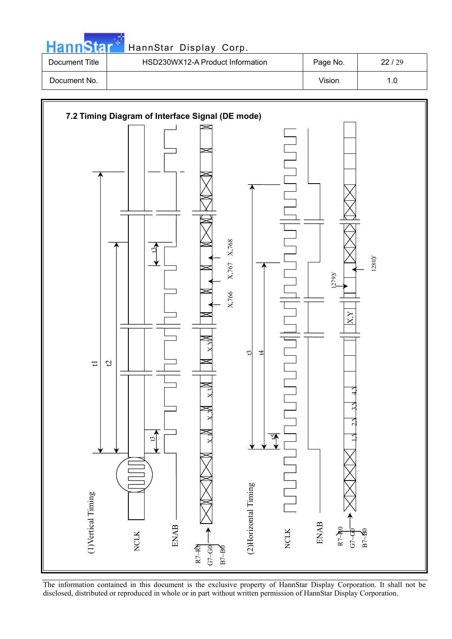| HannStar* |  |  |
|-----------|--|--|

### HannStar Display Corp.

| Document Title | HSD230WX12-A Product Information | Page No. | 22/29 |
|----------------|----------------------------------|----------|-------|
| Document No.   |                                  | Vision   |       |



The information contained in this document is the exclusive property of HannStar Display Corporation. It shall not be disclosed, distributed or reproduced in whole or in part without written permission of HannStar Display Corporation.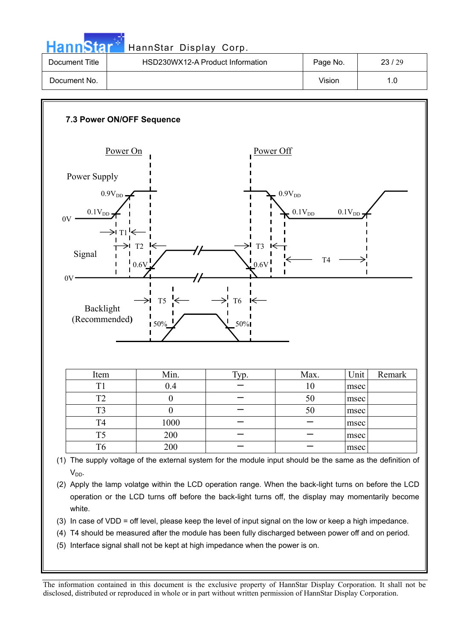HannStar<sup>5</sup> HannStar Display Corp.

| Document Title | HSD230WX12-A Product Information | Page No. | 23/29 |
|----------------|----------------------------------|----------|-------|
| Document No.   |                                  | Vision   |       |



- (3) In case of VDD = off level, please keep the level of input signal on the low or keep a high impedance.
- (4) T4 should be measured after the module has been fully discharged between power off and on period.
- (5) Interface signal shall not be kept at high impedance when the power is on.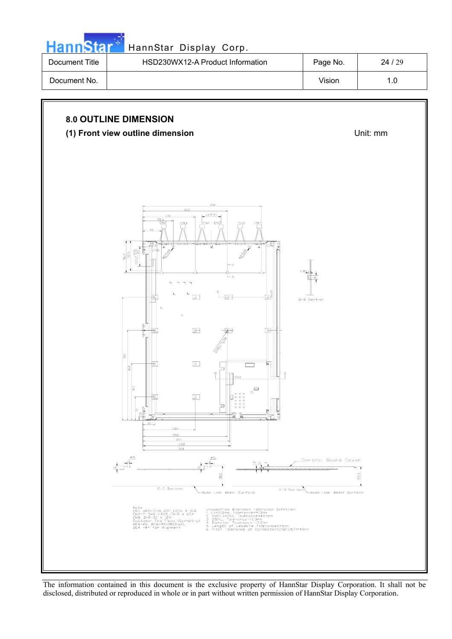

| Document Title | HSD230WX12-A Product Information | Page No. | 24/29 |
|----------------|----------------------------------|----------|-------|
| Document No.   |                                  | Vision   | ı .O  |

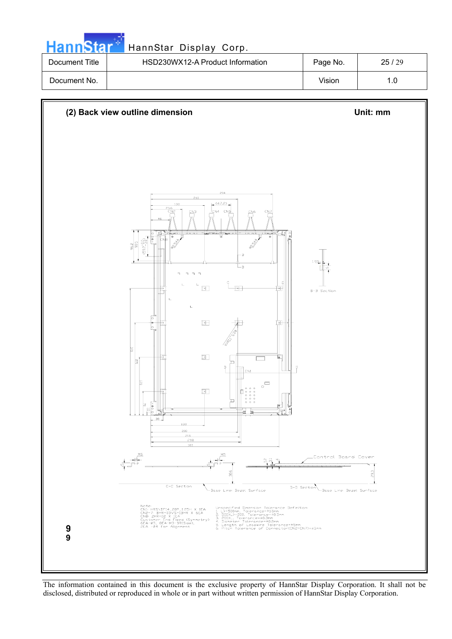| <b>HannStar</b> | HannStar Display Corp.           |          |       |
|-----------------|----------------------------------|----------|-------|
| Document Title  | HSD230WX12-A Product Information | Page No. | 25/29 |
| Document No.    |                                  | Vision   | 1.0   |

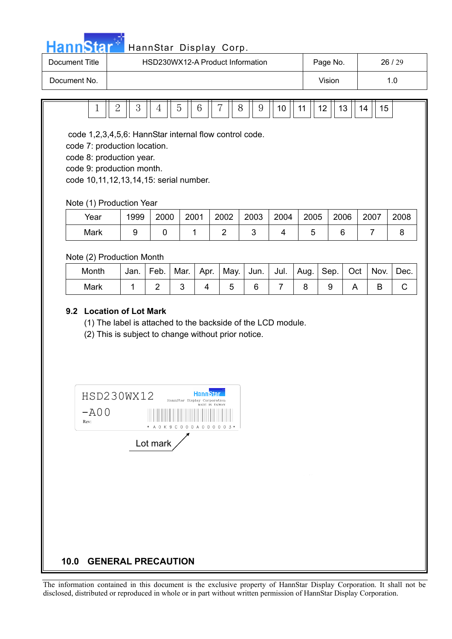

## HannStar<sup>37</sup> HannStar Display Corp.

| Document Title | HSD230WX12-A Product Information | Page No. | 26/29 |
|----------------|----------------------------------|----------|-------|
| Document No.   |                                  | Vision   |       |

| $\overline{2}$                                                                                                                                                                            | 3    | 5<br>4 | 6    | 7              | 8<br>9 | 10   | 12<br>11 | 13   | 15<br>14 |      |
|-------------------------------------------------------------------------------------------------------------------------------------------------------------------------------------------|------|--------|------|----------------|--------|------|----------|------|----------|------|
| code 1,2,3,4,5,6: HannStar internal flow control code.<br>code 7: production location.<br>code 8: production year.<br>code 9: production month.<br>code 10,11,12,13,14,15: serial number. |      |        |      |                |        |      |          |      |          |      |
| Note (1) Production Year                                                                                                                                                                  |      |        |      |                |        |      |          |      |          |      |
| Year                                                                                                                                                                                      | 1999 | 2000   | 2001 | 2002           | 2003   | 2004 | 2005     | 2006 | 2007     | 2008 |
| Mark                                                                                                                                                                                      | 9    | 0      | 1    | $\overline{2}$ | 3      | 4    | 5        | 6    | 7        | 8    |
| Note (2) Production Month                                                                                                                                                                 |      |        |      |                |        |      |          |      |          |      |

| Month | Jan. | Feb. | Mar. | Apr. | May. | Jun. | Jul. $\vert$ Aug. $\vert$ Sep. $\vert$ | Oct | Nov. | Dec. |
|-------|------|------|------|------|------|------|----------------------------------------|-----|------|------|
| Mark  |      |      |      |      |      |      |                                        |     |      |      |

#### **9.2 Location of Lot Mark**

(1) The label is attached to the backside of the LCD module.

(2) This is subject to change without prior notice.

| HSD230WX12   | <b>HannStar</b><br>HannStar Display Corporation<br>MADE IN TAIWAN |
|--------------|-------------------------------------------------------------------|
| -A00<br>Rev: | $\ast$<br>A 0 K 9 C 0 0 0 A 0<br>$3*$<br>$\bullet$<br>0<br>0<br>0 |
|              | Lot mark                                                          |
|              |                                                                   |
|              |                                                                   |
|              |                                                                   |
|              |                                                                   |

#### **10.0 GENERAL PRECAUTION**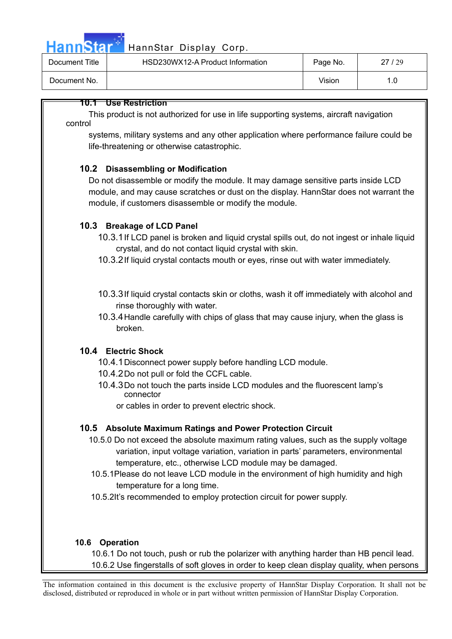

## HannStar<sup>17</sup> HannStar Display Corp.

| Document Title | HSD230WX12-A Product Information | Page No. | 27/29 |
|----------------|----------------------------------|----------|-------|
| Document No.   |                                  | Vision   |       |

### **10.1 Use Restriction**

This product is not authorized for use in life supporting systems, aircraft navigation control

systems, military systems and any other application where performance failure could be life-threatening or otherwise catastrophic.

#### **10.2 Disassembling or Modification**

Do not disassemble or modify the module. It may damage sensitive parts inside LCD module, and may cause scratches or dust on the display. HannStar does not warrant the module, if customers disassemble or modify the module.

#### **10.3 Breakage of LCD Panel**

- 10.3.1 If LCD panel is broken and liquid crystal spills out, do not ingest or inhale liquid crystal, and do not contact liquid crystal with skin.
- 10.3.2 If liquid crystal contacts mouth or eyes, rinse out with water immediately.
- 10.3.3 If liquid crystal contacts skin or cloths, wash it off immediately with alcohol and rinse thoroughly with water.
- 10.3.4 Handle carefully with chips of glass that may cause injury, when the glass is broken.

#### **10.4 Electric Shock**

- 10.4.1 Disconnect power supply before handling LCD module.
- 10.4.2 Do not pull or fold the CCFL cable.
- 10.4.3 Do not touch the parts inside LCD modules and the fluorescent lamp's connector
	- or cables in order to prevent electric shock.

#### **10.5 Absolute Maximum Ratings and Power Protection Circuit**

- 10.5.0 Do not exceed the absolute maximum rating values, such as the supply voltage variation, input voltage variation, variation in parts' parameters, environmental temperature, etc., otherwise LCD module may be damaged.
- 10.5.1Please do not leave LCD module in the environment of high humidity and high temperature for a long time.
- 10.5.2It's recommended to employ protection circuit for power supply.

#### **10.6 Operation**

10.6.1 Do not touch, push or rub the polarizer with anything harder than HB pencil lead. 10.6.2 Use fingerstalls of soft gloves in order to keep clean display quality, when persons